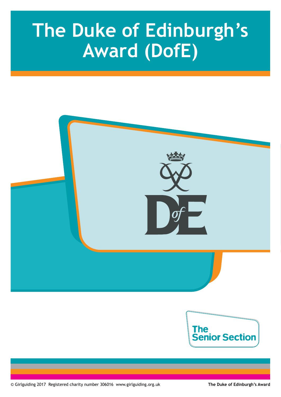# **The Duke of Edinburgh's Award (DofE)**

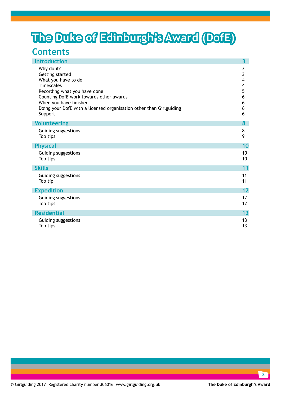## **The Duke of Edinburgh's Award (DofE)**

### **Contents**

| <b>Introduction</b>                                                 | $\overline{\mathbf{3}}$ |
|---------------------------------------------------------------------|-------------------------|
| Why do it?                                                          | 3                       |
| Getting started                                                     | 3                       |
| What you have to do                                                 | 4                       |
| <b>Timescales</b>                                                   | 4                       |
| Recording what you have done                                        | 5                       |
| Counting DofE work towards other awards                             | 6                       |
| When you have finished                                              | 6                       |
| Doing your DofE with a licensed organisation other than Girlguiding | 6                       |
| Support                                                             | 6                       |
| <b>Volunteering</b>                                                 | 8                       |
| Guiding suggestions                                                 | 8                       |
| Top tips                                                            | 9                       |
| <b>Physical</b>                                                     | 10                      |
| Guiding suggestions                                                 | 10                      |
| Top tips                                                            | 10                      |
| <b>Skills</b>                                                       | 11                      |
| Guiding suggestions                                                 | 11                      |
| Top tip                                                             | 11                      |
| <b>Expedition</b>                                                   | 12                      |
| Guiding suggestions                                                 | 12                      |
| Top tips                                                            | 12                      |
| <b>Residential</b>                                                  | 13                      |
| Guiding suggestions                                                 | 13                      |
| Top tips                                                            | 13                      |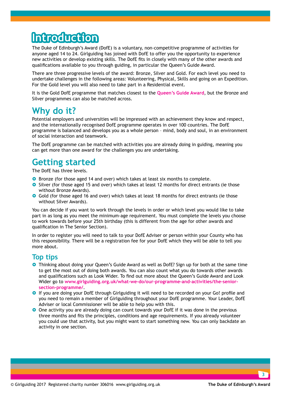## **Introduction**

The Duke of Edinburgh's Award (DofE) is a voluntary, non-competitive programme of activities for anyone aged 14 to 24. Girlguiding has joined with DofE to offer you the opportunity to experience new activities or develop existing skills. The DofE fits in closely with many of the other awards and qualifications available to you through guiding, in particular the Queen's Guide Award.

There are three progressive levels of the award: Bronze, Silver and Gold. For each level you need to undertake challenges in the following areas: Volunteering, Physical, Skills and going on an Expedition. For the Gold level you will also need to take part in a Residential event.

It is the Gold DofE programme that matches closest to the **[Queen's Guide Award](http://www.girlguiding.org.uk/what-we-do/our-programme-and-activities/the-senior-section-programme/queens-guide-award/)**, but the Bronze and Silver programmes can also be matched across.

### **Why do it?**

Potential employers and universities will be impressed with an achievement they know and respect, and the internationally recognised DofE programme operates in over 100 countries. The DofE programme is balanced and develops you as a whole person – mind, body and soul, in an environment of social interaction and teamwork.

The DofE programme can be matched with activities you are already doing in guiding, meaning you can get more than one award for the challenges you are undertaking.

### **Getting started**

The DofE has three levels.

- **•** Bronze (for those aged 14 and over) which takes at least six months to complete.
- **O** Silver (for those aged 15 and over) which takes at least 12 months for direct entrants (ie those without Bronze Awards).
- **O** Gold (for those aged 16 and over) which takes at least 18 months for direct entrants (ie those without Silver Awards).

You can decide if you want to work through the levels in order or which level you would like to take part in as long as you meet the minimum-age requirement. You must complete the levels you choose to work towards before your 25th birthday (this is different from the age for other awards and qualification in The Senior Section).

In order to register you will need to talk to your DofE Adviser or person within your County who has this responsibility. There will be a registration fee for your DofE which they will be able to tell you more about.

#### **Top tips**

- **•** Thinking about doing your Queen's Guide Award as well as DofE? Sign up for both at the same time to get the most out of doing both awards. You can also count what you do towards other awards and qualifications such as Look Wider. To find out more about the Queen's Guide Award and Look Wider go to **[www.girlguiding.org.uk/what-we-do/our-programme-and-activities/the-senior](http://www.girlguiding.org.uk/what-we-do/our-programme-and-activities/the-senior-section-programme/)[section-programme/](http://www.girlguiding.org.uk/what-we-do/our-programme-and-activities/the-senior-section-programme/)**.
- **O** If you are doing your DofE through Girlguiding it will need to be recorded on your Go! profile and you need to remain a member of Girlguiding throughout your DofE programme. Your Leader, DofE Adviser or local Commissioner will be able to help you with this.
- **O** One activity you are already doing can count towards your DofE if it was done in the previous three months and fits the principles, conditions and age requirements. If you already volunteer you could use that activity, but you might want to start something new. You can only backdate an activity in one section.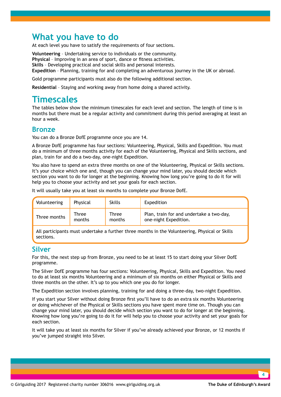### **What you have to do**

At each level you have to satisfy the requirements of four sections.

**Volunteering** – Undertaking service to individuals or the community. **Physical** – Improving in an area of sport, dance or fitness activities. **Skills** – Developing practical and social skills and personal interests. **Expedition** – Planning, training for and completing an adventurous journey in the UK or abroad.

Gold programme participants must also do the following additional section.

**Residential** – Staying and working away from home doing a shared activity.

### **Timescales**

The tables below show the minimum timescales for each level and section. The length of time is in months but there must be a regular activity and commitment during this period averaging at least an hour a week.

#### **Bronze**

You can do a Bronze DofE programme once you are 14.

A Bronze DofE programme has four sections: Volunteering, Physical, Skills and Expedition. You must do a minimum of three months activity for each of the Volunteering, Physical and Skills sections, and plan, train for and do a two-day, one-night Expedition.

You also have to spend an extra three months on one of the Volunteering, Physical or Skills sections. It's your choice which one and, though you can change your mind later, you should decide which section you want to do for longer at the beginning. Knowing how long you're going to do it for will help you to choose your activity and set your goals for each section.

It will usually take you at least six months to complete your Bronze DofE.

| Volunteering | Physical | <b>Skills</b> | Expedition                               |
|--------------|----------|---------------|------------------------------------------|
| Three months | Three    | <b>Three</b>  | Plan, train for and undertake a two-day, |
|              | months   | months        | one-night Expedition.                    |

All participants must undertake a further three months in the Volunteering, Physical or Skills sections.

#### **Silver**

For this, the next step up from Bronze, you need to be at least 15 to start doing your Silver DofE programme.

The Silver DofE programme has four sections: Volunteering, Physical, Skills and Expedition. You need to do at least six months Volunteering and a minimum of six months on either Physical or Skills and three months on the other. It's up to you which one you do for longer.

The Expedition section involves planning, training for and doing a three-day, two-night Expedition.

If you start your Silver without doing Bronze first you'll have to do an extra six months Volunteering or doing whichever of the Physical or Skills sections you have spent more time on. Though you can change your mind later, you should decide which section you want to do for longer at the beginning. Knowing how long you're going to do it for will help you to choose your activity and set your goals for each section.

It will take you at least six months for Silver if you've already achieved your Bronze, or 12 months if you've jumped straight into Silver.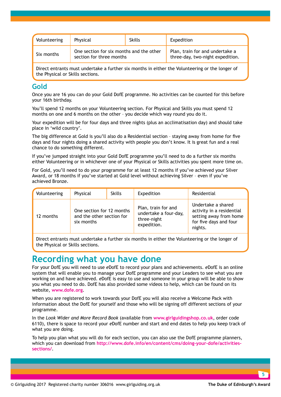| Volunteering | Physical                                                             | <b>Skills</b> | Expedition                                                          |
|--------------|----------------------------------------------------------------------|---------------|---------------------------------------------------------------------|
| Six months   | One section for six months and the other<br>section for three months |               | Plan, train for and undertake a<br>three-day, two-night expedition. |

Direct entrants must undertake a further six months in either the Volunteering or the longer of the Physical or Skills sections.

#### **Gold**

Once you are 16 you can do your Gold DofE programme. No activities can be counted for this before your 16th birthday.

You'll spend 12 months on your Volunteering section. For Physical and Skills you must spend 12 months on one and 6 months on the other – you decide which way round you do it.

Your expedition will be for four days and three nights (plus an acclimatisation day) and should take place in 'wild country'.

The big difference at Gold is you'll also do a Residential section – staying away from home for five days and four nights doing a shared activity with people you don't know. It is great fun and a real chance to do something different.

If you've jumped straight into your Gold DofE programme you'll need to do a further six months either Volunteering or in whichever one of your Physical or Skills activities you spent more time on.

For Gold, you'll need to do your programme for at least 12 months if you've achieved your Silver Award, or 18 months if you've started at Gold level without achieving Silver – even if you've achieved Bronze.

| Volunteering | Physical                                                             | <b>Skills</b> | Expedition                                                                 | Residential                                                                                                    |
|--------------|----------------------------------------------------------------------|---------------|----------------------------------------------------------------------------|----------------------------------------------------------------------------------------------------------------|
| 12 months    | One section for 12 months<br>and the other section for<br>six months |               | Plan, train for and<br>undertake a four-day,<br>three-night<br>expedition. | Undertake a shared<br>activity in a residential<br>setting away from home<br>for five days and four<br>nights. |

Direct entrants must undertake a further six months in either the Volunteering or the longer of the Physical or Skills sections.

### **Recording what you have done**

For your DofE you will need to use *e*DofE to record your plans and achievements. *e*DofE is an online system that will enable you to manage your DofE programme and your Leaders to see what you are working on and have achieved. *e*DofE is easy to use and someone in your group will be able to show you what you need to do. DofE has also provided some videos to help, which can be found on its website, **www.dofe.org**.

When you are registered to work towards your DofE you will also receive a Welcome Pack with information about the DofE for yourself and those who will be signing off different sections of your programme.

In the *Look Wider and More Record Book* (available from **www.girlguidingshop.co.uk**, order code 6110), there is space to record your *e*DofE number and start and end dates to help you keep track of what you are doing.

To help you plan what you will do for each section, you can also use the DofE programme planners, which you can download from **[http://www.dofe.info/en/content/cms/doing-your-dofe/activities](http://www.dofe.info/en/content/cms/doing-your-dofe/activities-sections/)[sections/](http://www.dofe.info/en/content/cms/doing-your-dofe/activities-sections/)**.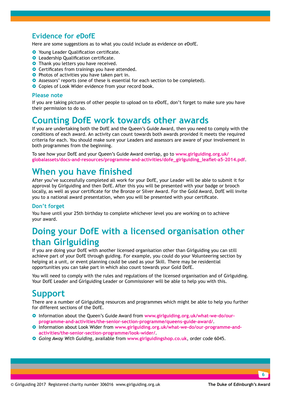### **Evidence for** *e***DofE**

Here are some suggestions as to what you could include as evidence on *e*DofE.

- **O** Young Leader Qualification certificate.
- **O** Leadership Qualification certificate.
- **•** Thank you letters you have received.
- **O** Certificates from trainings you have attended.
- **•** Photos of activities you have taken part in.
- **•** Assessors' reports (one of these is essential for each section to be completed).
- **O** Copies of Look Wider evidence from your record book.

#### **Please note**

If you are taking pictures of other people to upload on to *e*DofE, don't forget to make sure you have their permission to do so.

### **Counting DofE work towards other awards**

If you are undertaking both the DofE and the Queen's Guide Award, then you need to comply with the conditions of each award. An activity can count towards both awards provided it meets the required criteria for each. You should make sure your Leaders and assessors are aware of your involvement in both programmes from the beginning.

To see how your DofE and your Queen's Guide Award overlap, go to **[www.girlguiding.org.uk/](http://www.girlguiding.org.uk/globalassets/docs-and-resources/programme-and-activities/dofe_girlguiding_leaflet-a5-2014.pdf) [globalassets/docs-and-resources/programme-and-activities/dofe\\_girlguiding\\_leaflet-a5-2014.pdf](http://www.girlguiding.org.uk/globalassets/docs-and-resources/programme-and-activities/dofe_girlguiding_leaflet-a5-2014.pdf)**.

### **When you have finished**

After you've successfully completed all work for your DofE, your Leader will be able to submit it for approval by Girlguiding and then DofE. After this you will be presented with your badge or brooch locally, as well as your certificate for the Bronze or Silver Award. For the Gold Award, DofE will invite you to a national award presentation, when you will be presented with your certificate.

#### **Don't forget**

You have until your 25th birthday to complete whichever level you are working on to achieve your award.

### **Doing your DofE with a licensed organisation other than Girlguiding**

If you are doing your DofE with another licensed organisation other than Girlguiding you can still achieve part of your DofE through guiding. For example, you could do your Volunteering section by helping at a unit, or event planning could be used as your Skill. There may be residential opportunities you can take part in which also count towards your Gold DofE.

You will need to comply with the rules and regulations of the licensed organisation and of Girlguiding. Your DofE Leader and Girlguiding Leader or Commissioner will be able to help you with this.

### **Support**

There are a number of Girlguiding resources and programmes which might be able to help you further for different sections of the DofE.

- **O** Information about the Queen's Guide Award from [www.girlguiding.org.uk/what-we-do/our](http://www.girlguiding.org.uk/what-we-do/our-programme-and-activities/the-senior-section-programme/queens-guide-award/)**[programme-and-activities/the-senior-section-programme/queens-guide-award/](http://www.girlguiding.org.uk/what-we-do/our-programme-and-activities/the-senior-section-programme/queens-guide-award/)**.
- **O** Information about Look Wider from [www.girlguiding.org.uk/what-we-do/our-programme-and](http://www.girlguiding.org.uk/what-we-do/our-programme-and-activities/the-senior-section-programme/look-wider/.)**[activities/the-senior-section-programme/look-wider/](http://www.girlguiding.org.uk/what-we-do/our-programme-and-activities/the-senior-section-programme/look-wider/.)**.
- } *Going Away With Guiding*, available from **www.girlguidingshop.co.uk**, order code 6045.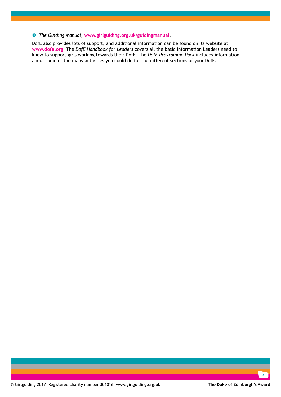#### } *The Guiding Manual*, **www.girlguiding.org.uk/guidingmanual**.

DofE also provides lots of support, and additional information can be found on its website at **www.dofe.org**. The *DofE Handbook for Leaders* covers all the basic information Leaders need to know to support girls working towards their DofE. The *DofE Programme Pack* includes information about some of the many activities you could do for the different sections of your DofE.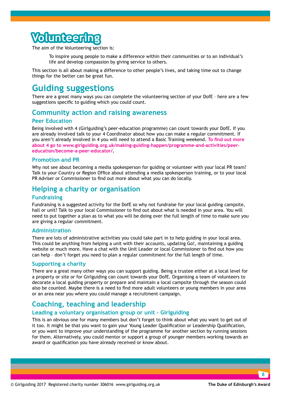## **blunteerii**

The aim of the Volunteering section is:

 To inspire young people to make a difference within their communities or to an individual's life and develop compassion by giving service to others.

This section is all about making a difference to other people's lives, and taking time out to change things for the better can be great fun.

### **Guiding suggestions**

There are a great many ways you can complete the volunteering section of your DofE – here are a few suggestions specific to guiding which you could count.

#### **Community action and raising awareness**

#### **Peer Education**

Being involved with 4 (Girlguiding's peer-education programme) can count towards your DofE. If you are already involved talk to your 4 Coordinator about how you can make a regular commitment. If you aren't already involved in 4 you will need to attend a Basic Training weekend. **[To find out more](http://www.girlguiding.org.uk/making-guiding-happen/programme-and-activities/peer-education/become-a-peer-educator/.)  [about 4 go to](http://www.girlguiding.org.uk/making-guiding-happen/programme-and-activities/peer-education/become-a-peer-educator/.) [www.girlguiding.org.uk/making-guiding-happen/programme-and-activities/peer](http://www.girlguiding.org.uk/making-guiding-happen/programme-and-activities/peer-education/become-a-peer-educator/)[education/become-a-peer-educator/.](http://www.girlguiding.org.uk/making-guiding-happen/programme-and-activities/peer-education/become-a-peer-educator/)**

#### **Promotion and PR**

Why not see about becoming a media spokesperson for guiding or volunteer with your local PR team? Talk to your Country or Region Office about attending a media spokesperson training, or to your local PR Adviser or Commissioner to find out more about what you can do locally.

#### **Helping a charity or organisation**

#### **Fundraising**

Fundraising is a suggested activity for the DofE so why not fundraise for your local guiding campsite, hall or unit? Talk to your local Commissioner to find out about what is needed in your area. You will need to put together a plan as to what you will be doing over the full length of time to make sure you are giving a regular commitment.

#### **Administration**

There are lots of administrative activities you could take part in to help guiding in your local area. This could be anything from helping a unit with their accounts, updating Go!, maintaining a guiding website or much more. Have a chat with the Unit Leader or local Commissioner to find out how you can help – don't forget you need to plan a regular commitment for the full length of time.

#### **Supporting a charity**

There are a great many other ways you can support guiding. Being a trustee either at a local level for a property or site or for Girlguiding can count towards your DofE. Organising a team of volunteers to decorate a local guiding property or prepare and maintain a local campsite through the season could also be counted. Maybe there is a need to find more adult volunteers or young members in your area or an area near you where you could manage a recruitment campaign.

#### **Coaching, teaching and leadership**

#### **Leading a voluntary organisation group or unit – Girlguiding**

This is an obvious one for many members but don't forget to think about what you want to get out of it too. It might be that you want to gain your Young Leader Qualification or Leadership Qualification, or you want to improve your understanding of the programme for another section by running sessions for them. Alternatively, you could mentor or support a group of younger members working towards an award or qualification you have already received or know about.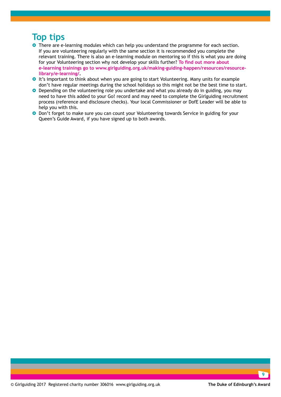### **Top tips**

- **•** There are e-learning modules which can help you understand the programme for each section. If you are volunteering regularly with the same section it is recommended you complete the relevant training. There is also an e-learning module on mentoring so if this is what you are doing for your Volunteering section why not develop your skills further? **[To find out more about](http://www.girlguiding.org.uk/making-guiding-happen/resources/resource-library/e-learning/)  [e-learning trainings go to www.girlguiding.org.uk/making-guiding-happen/resources/resource](http://www.girlguiding.org.uk/making-guiding-happen/resources/resource-library/e-learning/)[library/e-learning/.](http://www.girlguiding.org.uk/making-guiding-happen/resources/resource-library/e-learning/)**
- **O** It's important to think about when you are going to start Volunteering. Many units for example don't have regular meetings during the school holidays so this might not be the best time to start.
- **O** Depending on the volunteering role you undertake and what you already do in guiding, you may need to have this added to your Go! record and may need to complete the Girlguiding recruitment process (reference and disclosure checks). Your local Commissioner or DofE Leader will be able to help you with this.
- **•** Don't forget to make sure you can count your Volunteering towards Service in guiding for your Queen's Guide Award, if you have signed up to both awards.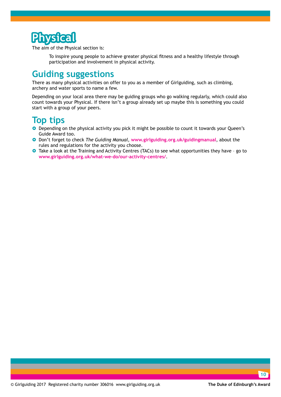

The aim of the Physical section is:

To inspire young people to achieve greater physical fitness and a healthy lifestyle through participation and involvement in physical activity.

### **Guiding suggestions**

There as many physical activities on offer to you as a member of Girlguiding, such as climbing, archery and water sports to name a few.

Depending on your local area there may be guiding groups who go walking regularly, which could also count towards your Physical. If there isn't a group already set up maybe this is something you could start with a group of your peers.

### **Top tips**

- **O** Depending on the physical activity you pick it might be possible to count it towards your Queen's Guide Award too.
- } Don't forget to check *The Guiding Manual*, **www.girlguiding.org.uk/guidingmanual**, about the rules and regulations for the activity you choose.
- **O** Take a look at the Training and Activity Centres (TACs) to see what opportunities they have go to **[www.girlguiding.org.uk/what-we-do/our-activity-centres/](http://www.girlguiding.org.uk/what-we-do/our-activity-centres/)**.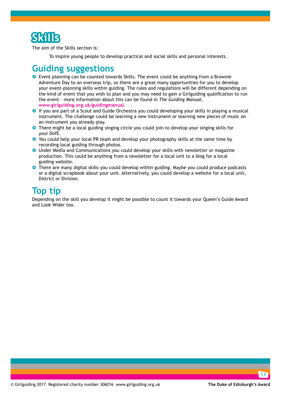

The aim of the Skills section is:

To inspire young people to develop practical and social skills and personal interests.

### **Guiding suggestions**

- **•** Event planning can be counted towards Skills. The event could be anything from a Brownie Adventure Day to an overseas trip, so there are a great many opportunities for you to develop your event-planning skills within guiding. The rules and regulations will be different depending on the kind of event that you wish to plan and you may need to gain a Girlguiding qualification to run the event – more information about this can be found in *The Guiding Manual*, **www.girlguiding.org.uk/guidingmanual**.
- **O** If you are part of a Scout and Guide Orchestra you could developing your skills in playing a musical instrument. The challenge could be learning a new instrument or learning new pieces of music on an instrument you already play.
- **•** There might be a local guiding singing circle you could join to develop your singing skills for your DofE.
- **•** You could help your local PR team and develop your photography skills at the same time by recording local guiding through photos.
- **O** Under Media and Communications you could develop your skills with newsletter or magazine production. This could be anything from a newsletter for a local unit to a blog for a local guiding website.
- **•** There are many digital skills you could develop within guiding. Maybe you could produce podcasts or a digital scrapbook about your unit. Alternatively, you could develop a website for a local unit, District or Division.

### **Top tip**

Depending on the skill you develop it might be possible to count it towards your Queen's Guide Award and Look Wider too.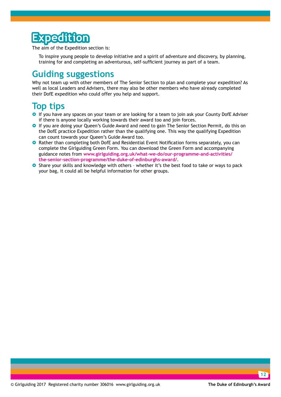## **Expedition**

The aim of the Expedition section is:

 To inspire young people to develop initiative and a spirit of adventure and discovery, by planning, training for and completing an adventurous, self-sufficient journey as part of a team.

### **Guiding suggestions**

Why not team up with other members of The Senior Section to plan and complete your expedition? As well as local Leaders and Advisers, there may also be other members who have already completed their DofE expedition who could offer you help and support.

### **Top tips**

- **•** If you have any spaces on your team or are looking for a team to join ask your County DofE Adviser if there is anyone locally working towards their award too and join forces.
- **•** If you are doing your Queen's Guide Award and need to gain The Senior Section Permit, do this on the DofE practice Expedition rather than the qualifying one. This way the qualifying Expedition can count towards your Queen's Guide Award too.
- **O** Rather than completing both DofE and Residential Event Notification forms separately, you can complete the Girlguiding Green Form. [You can download the Green Form and accompanying](http://www.girlguiding.org.uk/what-we-do/our-programme-and-activities/the-senior-section-programme/the-duke-of-edinburghs-award/)  guidance notes from **[www.girlguiding.org.uk/what-we-do/our-programme-and-activities/](http://www.girlguiding.org.uk/what-we-do/our-programme-and-activities/the-senior-section-programme/the-duke-of-edinburghs-award/) [the-senior-section-programme/the-duke-of-edinburghs-award/](http://www.girlguiding.org.uk/what-we-do/our-programme-and-activities/the-senior-section-programme/the-duke-of-edinburghs-award/)**.
- **O** Share your skills and knowledge with others whether it's the best food to take or ways to pack your bag, it could all be helpful information for other groups.